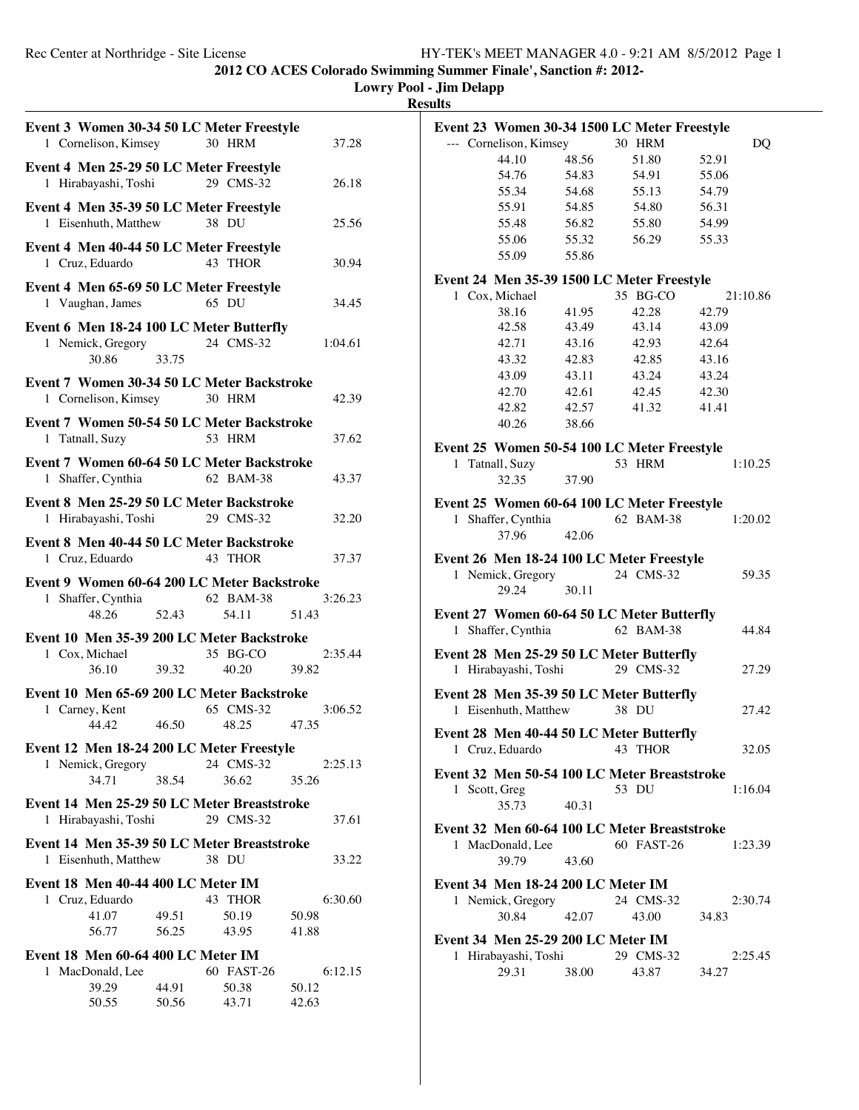**2012 CO ACES Colorado Swimming Summer Finale', Sanction #: 2012-**

**Lowry Pool - Jim Delapp Results**

| Event 3 Women 30-34 50 LC Meter Freestyle<br>1 Cornelison, Kimsey                       |                | 30 HRM                       | 37.28                     |
|-----------------------------------------------------------------------------------------|----------------|------------------------------|---------------------------|
| Event 4 Men 25-29 50 LC Meter Freestyle<br>1 Hirabayashi, Toshi                         |                | 29 CMS-32                    | 26.18                     |
| Event 4 Men 35-39 50 LC Meter Freestyle<br>1 Eisenhuth, Matthew                         |                | 38 DU                        | 25.56                     |
| Event 4 Men 40-44 50 LC Meter Freestyle<br>1 Cruz, Eduardo                              |                | 43 THOR                      | 30.94                     |
| Event 4 Men 65-69 50 LC Meter Freestyle<br>1 Vaughan, James                             |                | 65 DU                        | 34.45                     |
| Event 6 Men 18-24 100 LC Meter Butterfly<br>1 Nemick, Gregory<br>30.86                  | 33.75          | 24 CMS-32                    | 1:04.61                   |
| Event 7 Women 30-34 50 LC Meter Backstroke<br>1 Cornelison, Kimsey                      |                | 30 HRM                       | 42.39                     |
| Event 7 Women 50-54 50 LC Meter Backstroke<br>1 Tatnall, Suzy                           |                | 53 HRM                       | 37.62                     |
| Event 7 Women 60-64 50 LC Meter Backstroke<br>1 Shaffer, Cynthia                        |                | 62 BAM-38                    | 43.37                     |
| Event 8 Men 25-29 50 LC Meter Backstroke<br>1 Hirabayashi, Toshi 29 CMS-32              |                |                              | 32.20                     |
| Event 8 Men 40-44 50 LC Meter Backstroke<br>1 Cruz, Eduardo                             |                | 43 THOR                      | 37.37                     |
| Event 9 Women 60-64 200 LC Meter Backstroke<br>1 Shaffer, Cynthia<br>48.26              | 52.43          | 62 BAM-38<br>54.11           | 3:26.23<br>51.43          |
| Event 10 Men 35-39 200 LC Meter Backstroke<br>1 Cox, Michael<br>36.10                   | 39.32          | 35 BG-CO<br>40.20            | 2:35.44<br>39.82          |
| Event 10 Men 65-69 200 LC Meter Backstroke<br>1 Carney, Kent<br>44.42 46.50 48.25 47.35 |                | 65 CMS-32                    | 3:06.52                   |
| Event 12 Men 18-24 200 LC Meter Freestyle<br>1 Nemick, Gregory<br>34.71                 | 38.54          | 24 CMS-32<br>36.62           | 2:25.13<br>35.26          |
| Event 14 Men 25-29 50 LC Meter Breaststroke<br>1 Hirabayashi, Toshi                     |                | 29 CMS-32                    | 37.61                     |
| Event 14 Men 35-39 50 LC Meter Breaststroke<br>1 Eisenhuth, Matthew                     |                | 38 DU                        | 33.22                     |
| Event 18 Men 40-44 400 LC Meter IM<br>1 Cruz, Eduardo<br>41.07<br>56.77                 | 49.51<br>56.25 | 43 THOR<br>50.19<br>43.95    | 6:30.60<br>50.98<br>41.88 |
| Event 18 Men 60-64 400 LC Meter IM                                                      |                |                              |                           |
| 1 MacDonald, Lee<br>39.29<br>50.55                                                      | 44.91<br>50.56 | 60 FAST-26<br>50.38<br>43.71 | 6:12.15<br>50.12<br>42.63 |

| Event 23 Women 30-34 1500 LC Meter Freestyle                   |       |            |          |  |  |  |
|----------------------------------------------------------------|-------|------------|----------|--|--|--|
| --- Cornelison, Kimsey                                         |       | 30 HRM     | DO       |  |  |  |
| 44.10                                                          | 48.56 | 51.80      | 52.91    |  |  |  |
| 54.76                                                          | 54.83 | 54.91      | 55.06    |  |  |  |
| 55.34                                                          | 54.68 | 55.13      | 54.79    |  |  |  |
| 55.91                                                          | 54.85 | 54.80      | 56.31    |  |  |  |
| 55.48                                                          | 56.82 | 55.80      | 54.99    |  |  |  |
| 55.06                                                          | 55.32 | 56.29      | 55.33    |  |  |  |
| 55.09                                                          | 55.86 |            |          |  |  |  |
| Event 24 Men 35-39 1500 LC Meter Freestyle                     |       |            |          |  |  |  |
| 1 Cox, Michael                                                 |       | 35 BG-CO   | 21:10.86 |  |  |  |
| 38.16                                                          | 41.95 | 42.28      | 42.79    |  |  |  |
| 42.58                                                          | 43.49 | 43.14      | 43.09    |  |  |  |
| 42.71                                                          | 43.16 | 42.93      | 42.64    |  |  |  |
| 43.32                                                          | 42.83 | 42.85      | 43.16    |  |  |  |
| 43.09                                                          | 43.11 | 43.24      | 43.24    |  |  |  |
| 42.70                                                          | 42.61 | 42.45      | 42.30    |  |  |  |
| 42.82                                                          | 42.57 | 41.32      | 41.41    |  |  |  |
| 40.26                                                          | 38.66 |            |          |  |  |  |
|                                                                |       |            |          |  |  |  |
| Event 25 Women 50-54 100 LC Meter Freestyle<br>1 Tatnall, Suzy |       | 53 HRM     | 1:10.25  |  |  |  |
| 32.35                                                          | 37.90 |            |          |  |  |  |
|                                                                |       |            |          |  |  |  |
| Event 25 Women 60-64 100 LC Meter Freestyle                    |       |            |          |  |  |  |
| Shaffer, Cynthia<br>1.                                         |       | 62 BAM-38  | 1:20.02  |  |  |  |
| 37.96                                                          | 42.06 |            |          |  |  |  |
| Event 26 Men 18-24 100 LC Meter Freestyle                      |       |            |          |  |  |  |
| 1 Nemick, Gregory                                              |       | 24 CMS-32  | 59.35    |  |  |  |
| 29.24                                                          | 30.11 |            |          |  |  |  |
| Event 27 Women 60-64 50 LC Meter Butterfly                     |       |            |          |  |  |  |
| Shaffer, Cynthia<br>1                                          |       | 62 BAM-38  | 44.84    |  |  |  |
| Event 28 Men 25-29 50 LC Meter Butterfly                       |       |            |          |  |  |  |
| 1 Hirabayashi, Toshi                                           |       | 29 CMS-32  | 27.29    |  |  |  |
|                                                                |       |            |          |  |  |  |
| Event 28 Men 35-39 50 LC Meter Butterfly                       |       |            |          |  |  |  |
| 1 Eisenhuth, Matthew                                           |       | 38 DU      | 27.42    |  |  |  |
| Event 28 Men 40-44 50 LC Meter Butterfly                       |       |            |          |  |  |  |
| 1 Cruz, Eduardo                                                |       | 43 THOR    | 32.05    |  |  |  |
|                                                                |       |            |          |  |  |  |
| Event 32 Men 50-54 100 LC Meter Breaststroke                   |       |            |          |  |  |  |
| 1 Scott, Greg                                                  |       | 53 DU      | 1:16.04  |  |  |  |
| 35.73                                                          | 40.31 |            |          |  |  |  |
| Event 32 Men 60-64 100 LC Meter Breaststroke                   |       |            |          |  |  |  |
| 1 MacDonald, Lee                                               |       | 60 FAST-26 | 1:23.39  |  |  |  |
| 39.79                                                          | 43.60 |            |          |  |  |  |
| Event 34 Men 18-24 200 LC Meter IM                             |       |            |          |  |  |  |
| 1 Nemick, Gregory                                              |       | 24 CMS-32  | 2:30.74  |  |  |  |
| 30.84                                                          | 42.07 | 43.00      | 34.83    |  |  |  |
|                                                                |       |            |          |  |  |  |
| Event 34 Men 25-29 200 LC Meter IM                             |       |            |          |  |  |  |
| 1 Hirabayashi, Toshi                                           |       | 29 CMS-32  | 2:25.45  |  |  |  |
| 29.31                                                          | 38.00 | 43.87      | 34.27    |  |  |  |
|                                                                |       |            |          |  |  |  |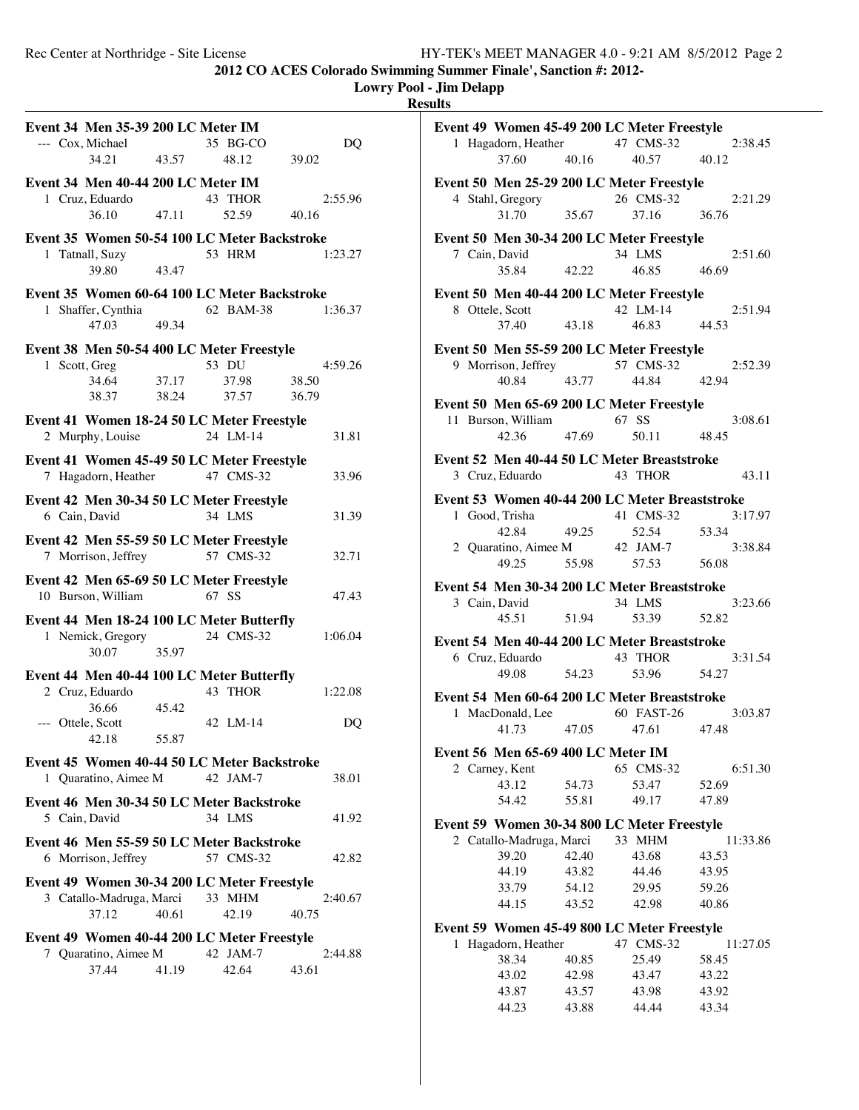**Event 34 Men 35-39 200 LC Meter IM** --- Cox, Michael 35 BG-CO 34.21 43.57 48.12

**Event 34 Men 40-44 200 LC Meter IM** 1 Cruz, Eduardo 43 THOR

47.03 49.34

**2012 CO ACES Colorado Swimming Summer Finale', Sanction #: 2012-**

**Lowry Pool - Jim Delapp Results**

|         |       | <b>Men 35-39 200 LC Meter IM</b> |       |         |  |
|---------|-------|----------------------------------|-------|---------|--|
| Michael |       | 35 BG-CO                         |       | DO      |  |
| 34.21   | 43.57 | 48.12                            | 39.02 |         |  |
|         |       | <b>Men 40-44 200 LC Meter IM</b> |       |         |  |
| Eduardo |       | 43 THOR                          |       | 2:55.96 |  |
| 36.10   | 47.11 | 52.59                            | 40.16 |         |  |

| Event 35 Women 50-54 100 LC Meter Backstroke |       |        |         |
|----------------------------------------------|-------|--------|---------|
| 1 Tatnall, Suzy                              |       | 53 HRM | 1:23.27 |
| 39.80                                        | 43.47 |        |         |

## **Event 35 Women 60-64 100 LC Meter Backstroke** 1 Shaffer, Cynthia 62 BAM-38 1:36.37

| Event 38 Men 50-54 400 LC Meter Freestyle |       |       |         |  |  |  |  |
|-------------------------------------------|-------|-------|---------|--|--|--|--|
| 1 Scott, Greg                             |       | 53 DU | 4:59.26 |  |  |  |  |
| 34.64                                     | 37.17 | 37.98 | 38.50   |  |  |  |  |
| 38.37                                     | 38.24 | 37.57 | 36.79   |  |  |  |  |

- **Event 41 Women 18-24 50 LC Meter Freestyle** 2 Murphy, Louise 24 LM-14 31.81
- **Event 41 Women 45-49 50 LC Meter Freestyle** 7 Hagadorn, Heather 47 CMS-32 33.96
- **Event 42 Men 30-34 50 LC Meter Freestyle** 6 Cain, David 34 LMS 31.39 **Event 42 Men 55-59 50 LC Meter Freestyle** 7 Morrison, Jeffrey 57 CMS-32 32.71
- **Event 42 Men 65-69 50 LC Meter Freestyle** 10 Burson, William 67 SS 47.43
- **Event 44 Men 18-24 100 LC Meter Butterfly** 1 Nemick, Gregory 24 CMS-32 1:06.04 30.07 35.97

## **Event 44 Men 40-44 100 LC Meter Butterfly**

| 2 Cruz, Eduardo   |       | 43 THOR   | 1:22.08 |
|-------------------|-------|-----------|---------|
| 36.66             | 45.42 |           |         |
| --- Ottele, Scott |       | 42 I.M-14 | DO      |
| 42.18             | 55.87 |           |         |
|                   |       |           |         |

- **Event 45 Women 40-44 50 LC Meter Backstroke** 1 Quaratino, Aimee M 42 JAM-7 38.01
- **Event 46 Men 30-34 50 LC Meter Backstroke** 5 Cain, David 34 LMS 41.92
- **Event 46 Men 55-59 50 LC Meter Backstroke** 6 Morrison, Jeffrey 57 CMS-32 42.82
- **Event 49 Women 30-34 200 LC Meter Freestyle** 3 Catallo-Madruga, Marci 33 MHM 2:40.67 37.12 40.61 42.19 40.75
- **Event 49 Women 40-44 200 LC Meter Freestyle** 7 Quaratino, Aimee M 42 JAM-7 2:44.88 37.44 41.19 42.64 43.61

|                                              | Event 49 Women 45-49 200 LC Meter Freestyle                                           |       |                                     | 2:38.45  |  |
|----------------------------------------------|---------------------------------------------------------------------------------------|-------|-------------------------------------|----------|--|
|                                              | 1 Hagadorn, Heather 47 CMS-32<br>37.60 40.16 40.57 40.12                              |       |                                     |          |  |
|                                              |                                                                                       |       |                                     |          |  |
|                                              | Event 50 Men 25-29 200 LC Meter Freestyle                                             |       |                                     |          |  |
|                                              | 4 Stahl, Gregory 26 CMS-32 2:21.29<br>31.70 35.67 37.16 36.76                         |       |                                     |          |  |
|                                              |                                                                                       |       |                                     |          |  |
|                                              | Event 50 Men 30-34 200 LC Meter Freestyle                                             |       |                                     |          |  |
|                                              | 7 Cain, David                                                                         |       | 34 LMS                              | 2:51.60  |  |
|                                              | $35.84$ $42.22$                                                                       |       | LMS<br>46.85 46.69                  |          |  |
|                                              | Event 50 Men 40-44 200 LC Meter Freestyle                                             |       |                                     |          |  |
|                                              | 8 Ottele, Scott                                                                       |       |                                     | 2:51.94  |  |
|                                              |                                                                                       |       | 2, Scott<br>37.40 43.18 46.83 44.53 |          |  |
|                                              |                                                                                       |       |                                     |          |  |
|                                              | Event 50 Men 55-59 200 LC Meter Freestyle                                             |       |                                     |          |  |
|                                              | 9 Morrison, Jeffrey 57 CMS-32<br>40.84 43.77 44.84 42.94                              |       |                                     | 2:52.39  |  |
|                                              | 40.84 43.77                                                                           |       |                                     |          |  |
|                                              | Event 50 Men 65-69 200 LC Meter Freestyle                                             |       |                                     |          |  |
|                                              | 11 Burson, William 67 SS                                                              |       |                                     | 3:08.61  |  |
|                                              | 42.36 47.69                                                                           |       | SS<br>50.11 48.45                   |          |  |
|                                              | Event 52 Men 40-44 50 LC Meter Breaststroke                                           |       |                                     |          |  |
|                                              | 3 Cruz, Eduardo                                                                       |       | 43 THOR                             | 43.11    |  |
|                                              |                                                                                       |       |                                     |          |  |
|                                              | Event 53 Women 40-44 200 LC Meter Breaststroke                                        |       |                                     |          |  |
|                                              |                                                                                       |       |                                     | 3:17.97  |  |
|                                              |                                                                                       |       |                                     |          |  |
|                                              | 1 Good, Trisha<br>42.84 49.25 42.84<br>42.925 52.54 53.34<br>42.925 55.98 57.53 56.08 |       |                                     | 3:38.84  |  |
|                                              |                                                                                       |       |                                     |          |  |
|                                              | Event 54 Men 30-34 200 LC Meter Breaststroke                                          |       |                                     |          |  |
|                                              | 3 Cain, David 34 LMS                                                                  |       |                                     | 3:23.66  |  |
|                                              | 45.51 51.94                                                                           |       | 53.39 52.82                         |          |  |
| Event 54 Men 40-44 200 LC Meter Breaststroke |                                                                                       |       |                                     |          |  |
|                                              | 6 Cruz, Eduardo                                                                       |       | 43 THOR                             | 3:31.54  |  |
|                                              | 49.08                                                                                 | 54.23 | 53.96 54.27                         |          |  |
|                                              |                                                                                       |       |                                     |          |  |
|                                              | Event 54 Men 60-64 200 LC Meter Breaststroke                                          |       |                                     |          |  |
|                                              | 1 MacDonald, Lee<br>41.73                                                             |       | 60 FAST-26<br>47.05 47.61 47.48     | 3:03.87  |  |
|                                              |                                                                                       |       |                                     |          |  |
|                                              | Event 56 Men 65-69 400 LC Meter IM                                                    |       |                                     |          |  |
|                                              | 2 Carney, Kent                                                                        |       | 65 CMS-32                           | 6:51.30  |  |
|                                              | 43.12                                                                                 | 54.73 | 53.47                               | 52.69    |  |
|                                              | 54.42                                                                                 | 55.81 | 49.17                               | 47.89    |  |
|                                              | Event 59 Women 30-34 800 LC Meter Freestyle                                           |       |                                     |          |  |
|                                              | 2 Catallo-Madruga, Marci                                                              |       | 33 MHM                              | 11:33.86 |  |
|                                              | 39.20                                                                                 | 42.40 | 43.68                               | 43.53    |  |
|                                              | 44.19                                                                                 | 43.82 | 44.46                               | 43.95    |  |
|                                              | 33.79                                                                                 | 54.12 | 29.95                               | 59.26    |  |
|                                              | 44.15                                                                                 | 43.52 | 42.98                               | 40.86    |  |
|                                              | Event 59 Women 45-49 800 LC Meter Freestyle                                           |       |                                     |          |  |
|                                              | 1 Hagadorn, Heather                                                                   |       | 47 CMS-32                           | 11:27.05 |  |
|                                              | 38.34                                                                                 | 40.85 | 25.49                               | 58.45    |  |
|                                              | 43.02                                                                                 | 42.98 | 43.47                               | 43.22    |  |

43.87 43.57 43.98 43.92 44.23 43.88 44.44 43.34